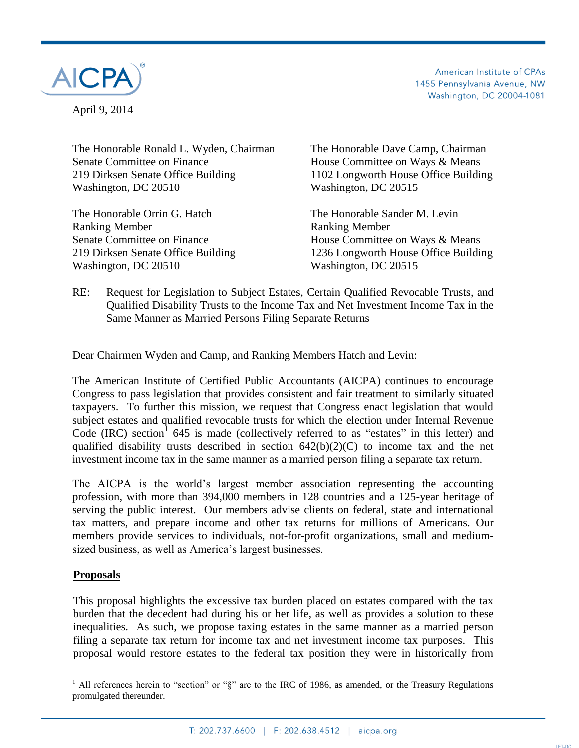

April 9, 2014

American Institute of CPAs 1455 Pennsylvania Avenue, NW Washington, DC 20004-1081

The Honorable Ronald L. Wyden, Chairman The Honorable Dave Camp, Chairman Senate Committee on Finance<br>
House Committee on Ways & Means 219 Dirksen Senate Office Building 1102 Longworth House Office Building Washington, DC 20510 Washington, DC 20515

The Honorable Orrin G. Hatch The Honorable Sander M. Levin Ranking Member **Ranking Member** Washington, DC 20510 Washington, DC 20515

Senate Committee on Finance House Committee on Ways & Means 219 Dirksen Senate Office Building 1236 Longworth House Office Building

## RE: Request for Legislation to Subject Estates, Certain Qualified Revocable Trusts, and Qualified Disability Trusts to the Income Tax and Net Investment Income Tax in the Same Manner as Married Persons Filing Separate Returns

Dear Chairmen Wyden and Camp, and Ranking Members Hatch and Levin:

The American Institute of Certified Public Accountants (AICPA) continues to encourage Congress to pass legislation that provides consistent and fair treatment to similarly situated taxpayers. To further this mission, we request that Congress enact legislation that would subject estates and qualified revocable trusts for which the election under Internal Revenue Code (IRC) section<sup>1</sup> 645 is made (collectively referred to as "estates" in this letter) and qualified disability trusts described in section  $642(b)(2)(C)$  to income tax and the net investment income tax in the same manner as a married person filing a separate tax return.

The AICPA is the world's largest member association representing the accounting profession, with more than 394,000 members in 128 countries and a 125-year heritage of serving the public interest. Our members advise clients on federal, state and international tax matters, and prepare income and other tax returns for millions of Americans. Our members provide services to individuals, not-for-profit organizations, small and mediumsized business, as well as America's largest businesses.

## **Proposals**

 $\overline{a}$ 

This proposal highlights the excessive tax burden placed on estates compared with the tax burden that the decedent had during his or her life, as well as provides a solution to these inequalities. As such, we propose taxing estates in the same manner as a married person filing a separate tax return for income tax and net investment income tax purposes. This proposal would restore estates to the federal tax position they were in historically from

<sup>&</sup>lt;sup>1</sup> All references herein to "section" or " $\S$ " are to the IRC of 1986, as amended, or the Treasury Regulations promulgated thereunder.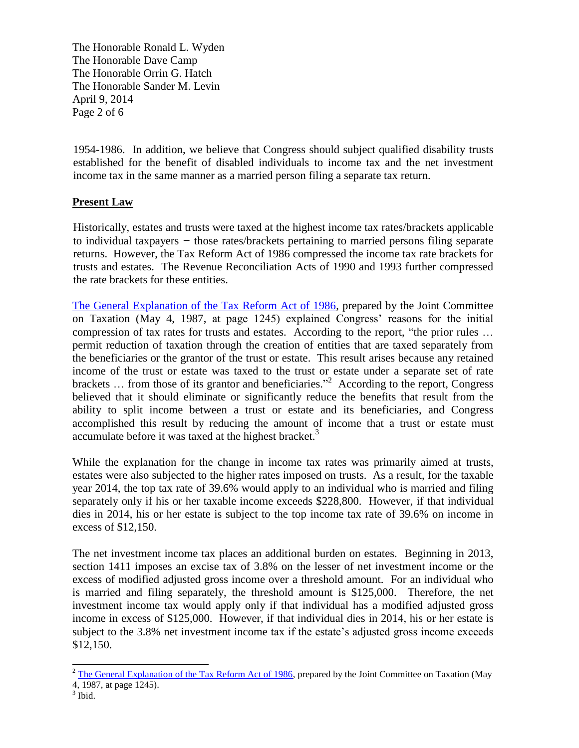The Honorable Ronald L. Wyden The Honorable Dave Camp The Honorable Orrin G. Hatch The Honorable Sander M. Levin April 9, 2014 Page 2 of 6

1954-1986. In addition, we believe that Congress should subject qualified disability trusts established for the benefit of disabled individuals to income tax and the net investment income tax in the same manner as a married person filing a separate tax return.

# **Present Law**

Historically, estates and trusts were taxed at the highest income tax rates/brackets applicable to individual taxpayers  $-$  those rates/brackets pertaining to married persons filing separate returns. However, the Tax Reform Act of 1986 compressed the income tax rate brackets for trusts and estates. The Revenue Reconciliation Acts of 1990 and 1993 further compressed the rate brackets for these entities.

[The General Explanation of the Tax Reform Act of 1986,](http://www.jct.gov/jcs-10-87.pdf) prepared by the Joint Committee on Taxation (May 4, 1987, at page 1245) explained Congress' reasons for the initial compression of tax rates for trusts and estates. According to the report, "the prior rules … permit reduction of taxation through the creation of entities that are taxed separately from the beneficiaries or the grantor of the trust or estate. This result arises because any retained income of the trust or estate was taxed to the trust or estate under a separate set of rate brackets  $\ldots$  from those of its grantor and beneficiaries.<sup>22</sup> According to the report, Congress believed that it should eliminate or significantly reduce the benefits that result from the ability to split income between a trust or estate and its beneficiaries, and Congress accomplished this result by reducing the amount of income that a trust or estate must accumulate before it was taxed at the highest bracket.<sup>3</sup>

While the explanation for the change in income tax rates was primarily aimed at trusts, estates were also subjected to the higher rates imposed on trusts. As a result, for the taxable year 2014, the top tax rate of 39.6% would apply to an individual who is married and filing separately only if his or her taxable income exceeds \$228,800. However, if that individual dies in 2014, his or her estate is subject to the top income tax rate of 39.6% on income in excess of \$12,150.

The net investment income tax places an additional burden on estates. Beginning in 2013, section 1411 imposes an excise tax of 3.8% on the lesser of net investment income or the excess of modified adjusted gross income over a threshold amount. For an individual who is married and filing separately, the threshold amount is \$125,000. Therefore, the net investment income tax would apply only if that individual has a modified adjusted gross income in excess of \$125,000. However, if that individual dies in 2014, his or her estate is subject to the 3.8% net investment income tax if the estate's adjusted gross income exceeds \$12,150.

 $\overline{a}$ 

 $2$  [The General Explanation of the Tax Reform Act of 1986,](http://www.jct.gov/jcs-10-87.pdf) prepared by the Joint Committee on Taxation (May 4, 1987, at page 1245).

<sup>3</sup> Ibid.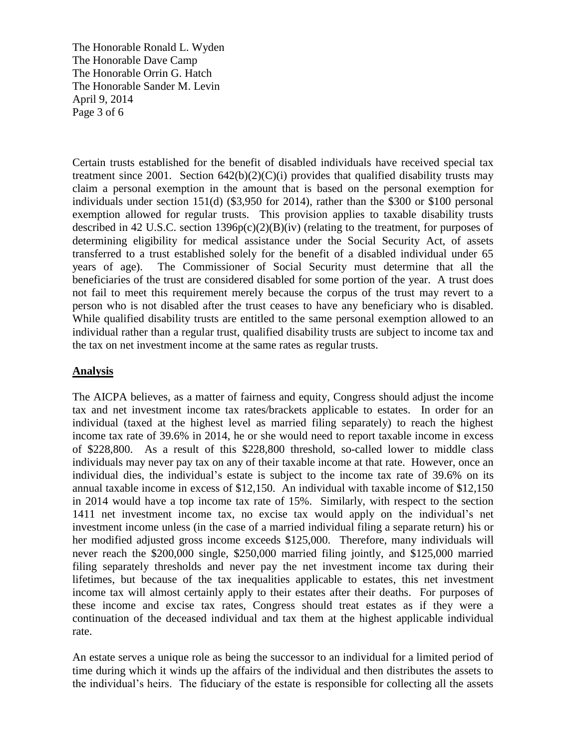The Honorable Ronald L. Wyden The Honorable Dave Camp The Honorable Orrin G. Hatch The Honorable Sander M. Levin April 9, 2014 Page 3 of 6

Certain trusts established for the benefit of disabled individuals have received special tax treatment since 2001. Section  $642(b)(2)(C)(i)$  provides that qualified disability trusts may claim a personal exemption in the amount that is based on the personal exemption for individuals under section 151(d) (\$3,950 for 2014), rather than the \$300 or \$100 personal exemption allowed for regular trusts. This provision applies to taxable disability trusts described in 42 U.S.C. section 1396p(c)(2)(B)(iv) (relating to the treatment, for purposes of determining eligibility for medical assistance under the Social Security Act, of assets transferred to a trust established solely for the benefit of a disabled individual under 65 years of age). The Commissioner of Social Security must determine that all the beneficiaries of the trust are considered disabled for some portion of the year. A trust does not fail to meet this requirement merely because the corpus of the trust may revert to a person who is not disabled after the trust ceases to have any beneficiary who is disabled. While qualified disability trusts are entitled to the same personal exemption allowed to an individual rather than a regular trust, qualified disability trusts are subject to income tax and the tax on net investment income at the same rates as regular trusts.

### **Analysis**

The AICPA believes, as a matter of fairness and equity, Congress should adjust the income tax and net investment income tax rates/brackets applicable to estates. In order for an individual (taxed at the highest level as married filing separately) to reach the highest income tax rate of 39.6% in 2014, he or she would need to report taxable income in excess of \$228,800. As a result of this \$228,800 threshold, so-called lower to middle class individuals may never pay tax on any of their taxable income at that rate. However, once an individual dies, the individual's estate is subject to the income tax rate of 39.6% on its annual taxable income in excess of \$12,150. An individual with taxable income of \$12,150 in 2014 would have a top income tax rate of 15%. Similarly, with respect to the section 1411 net investment income tax, no excise tax would apply on the individual's net investment income unless (in the case of a married individual filing a separate return) his or her modified adjusted gross income exceeds \$125,000. Therefore, many individuals will never reach the \$200,000 single, \$250,000 married filing jointly, and \$125,000 married filing separately thresholds and never pay the net investment income tax during their lifetimes, but because of the tax inequalities applicable to estates, this net investment income tax will almost certainly apply to their estates after their deaths. For purposes of these income and excise tax rates, Congress should treat estates as if they were a continuation of the deceased individual and tax them at the highest applicable individual rate.

An estate serves a unique role as being the successor to an individual for a limited period of time during which it winds up the affairs of the individual and then distributes the assets to the individual's heirs. The fiduciary of the estate is responsible for collecting all the assets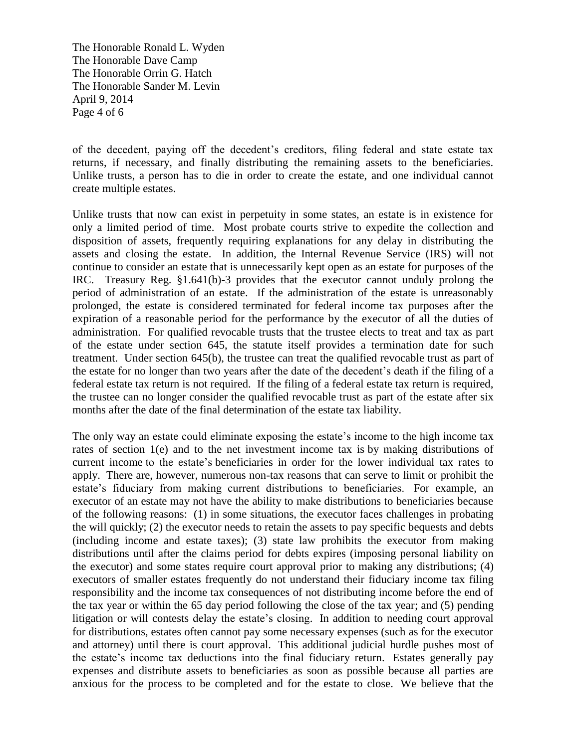The Honorable Ronald L. Wyden The Honorable Dave Camp The Honorable Orrin G. Hatch The Honorable Sander M. Levin April 9, 2014 Page 4 of 6

of the decedent, paying off the decedent's creditors, filing federal and state estate tax returns, if necessary, and finally distributing the remaining assets to the beneficiaries. Unlike trusts, a person has to die in order to create the estate, and one individual cannot create multiple estates.

Unlike trusts that now can exist in perpetuity in some states, an estate is in existence for only a limited period of time. Most probate courts strive to expedite the collection and disposition of assets, frequently requiring explanations for any delay in distributing the assets and closing the estate. In addition, the Internal Revenue Service (IRS) will not continue to consider an estate that is unnecessarily kept open as an estate for purposes of the IRC. Treasury Reg. §1.641(b)-3 provides that the executor cannot unduly prolong the period of administration of an estate. If the administration of the estate is unreasonably prolonged, the estate is considered terminated for federal income tax purposes after the expiration of a reasonable period for the performance by the executor of all the duties of administration. For qualified revocable trusts that the trustee elects to treat and tax as part of the estate under section 645, the statute itself provides a termination date for such treatment. Under section 645(b), the trustee can treat the qualified revocable trust as part of the estate for no longer than two years after the date of the decedent's death if the filing of a federal estate tax return is not required. If the filing of a federal estate tax return is required, the trustee can no longer consider the qualified revocable trust as part of the estate after six months after the date of the final determination of the estate tax liability.

The only way an estate could eliminate exposing the estate's income to the high income tax rates of section 1(e) and to the net investment income tax is by making distributions of current income to the estate's beneficiaries in order for the lower individual tax rates to apply. There are, however, numerous non-tax reasons that can serve to limit or prohibit the estate's fiduciary from making current distributions to beneficiaries. For example, an executor of an estate may not have the ability to make distributions to beneficiaries because of the following reasons: (1) in some situations, the executor faces challenges in probating the will quickly; (2) the executor needs to retain the assets to pay specific bequests and debts (including income and estate taxes); (3) state law prohibits the executor from making distributions until after the claims period for debts expires (imposing personal liability on the executor) and some states require court approval prior to making any distributions; (4) executors of smaller estates frequently do not understand their fiduciary income tax filing responsibility and the income tax consequences of not distributing income before the end of the tax year or within the 65 day period following the close of the tax year; and (5) pending litigation or will contests delay the estate's closing. In addition to needing court approval for distributions, estates often cannot pay some necessary expenses (such as for the executor and attorney) until there is court approval. This additional judicial hurdle pushes most of the estate's income tax deductions into the final fiduciary return. Estates generally pay expenses and distribute assets to beneficiaries as soon as possible because all parties are anxious for the process to be completed and for the estate to close. We believe that the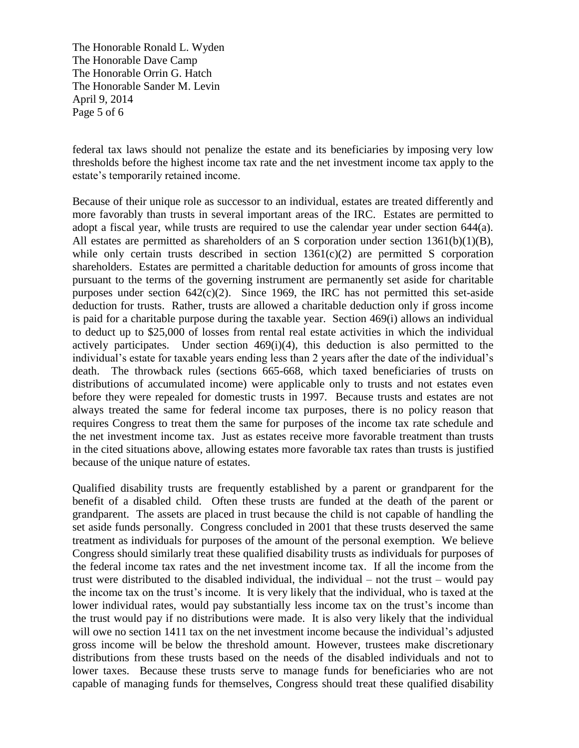The Honorable Ronald L. Wyden The Honorable Dave Camp The Honorable Orrin G. Hatch The Honorable Sander M. Levin April 9, 2014 Page 5 of 6

federal tax laws should not penalize the estate and its beneficiaries by imposing very low thresholds before the highest income tax rate and the net investment income tax apply to the estate's temporarily retained income.

Because of their unique role as successor to an individual, estates are treated differently and more favorably than trusts in several important areas of the IRC. Estates are permitted to adopt a fiscal year, while trusts are required to use the calendar year under section 644(a). All estates are permitted as shareholders of an S corporation under section 1361(b)(1)(B), while only certain trusts described in section  $1361(c)(2)$  are permitted S corporation shareholders. Estates are permitted a charitable deduction for amounts of gross income that pursuant to the terms of the governing instrument are permanently set aside for charitable purposes under section  $642(c)(2)$ . Since 1969, the IRC has not permitted this set-aside deduction for trusts. Rather, trusts are allowed a charitable deduction only if gross income is paid for a charitable purpose during the taxable year. Section 469(i) allows an individual to deduct up to \$25,000 of losses from rental real estate activities in which the individual actively participates. Under section 469(i)(4), this deduction is also permitted to the individual's estate for taxable years ending less than 2 years after the date of the individual's death. The throwback rules (sections 665-668, which taxed beneficiaries of trusts on distributions of accumulated income) were applicable only to trusts and not estates even before they were repealed for domestic trusts in 1997. Because trusts and estates are not always treated the same for federal income tax purposes, there is no policy reason that requires Congress to treat them the same for purposes of the income tax rate schedule and the net investment income tax. Just as estates receive more favorable treatment than trusts in the cited situations above, allowing estates more favorable tax rates than trusts is justified because of the unique nature of estates.

Qualified disability trusts are frequently established by a parent or grandparent for the benefit of a disabled child. Often these trusts are funded at the death of the parent or grandparent. The assets are placed in trust because the child is not capable of handling the set aside funds personally. Congress concluded in 2001 that these trusts deserved the same treatment as individuals for purposes of the amount of the personal exemption. We believe Congress should similarly treat these qualified disability trusts as individuals for purposes of the federal income tax rates and the net investment income tax. If all the income from the trust were distributed to the disabled individual, the individual – not the trust – would pay the income tax on the trust's income. It is very likely that the individual, who is taxed at the lower individual rates, would pay substantially less income tax on the trust's income than the trust would pay if no distributions were made. It is also very likely that the individual will owe no section 1411 tax on the net investment income because the individual's adjusted gross income will be below the threshold amount. However, trustees make discretionary distributions from these trusts based on the needs of the disabled individuals and not to lower taxes. Because these trusts serve to manage funds for beneficiaries who are not capable of managing funds for themselves, Congress should treat these qualified disability